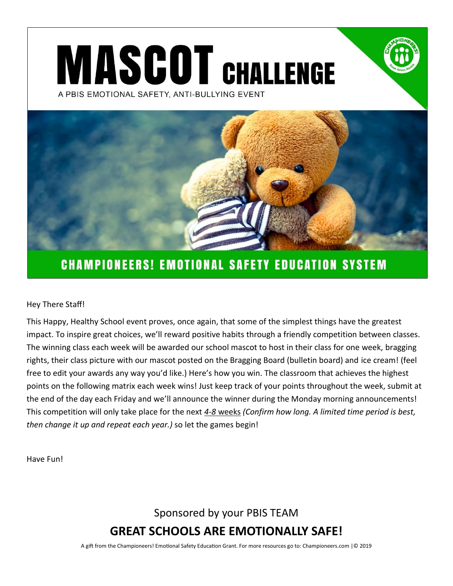# **MASCOT CHALLENGE** A PBIS EMOTIONAL SAFETY, ANTI-BULLYING EVENT



### **CHAMPIONEERS! EMOTIONAL SAFETY EDUCATION SYSTEM**

#### Hey There Staff!

This Happy, Healthy School event proves, once again, that some of the simplest things have the greatest impact. To inspire great choices, we'll reward positive habits through a friendly competition between classes. The winning class each week will be awarded our school mascot to host in their class for one week, bragging rights, their class picture with our mascot posted on the Bragging Board (bulletin board) and ice cream! (feel free to edit your awards any way you'd like.) Here's how you win. The classroom that achieves the highest points on the following matrix each week wins! Just keep track of your points throughout the week, submit at the end of the day each Friday and we'll announce the winner during the Monday morning announcements! This competition will only take place for the next *4-8* weeks *(Confirm how long. A limited time period is best, then change it up and repeat each year.)* so let the games begin!

Have Fun!

Sponsored by your PBIS TEAM

**GREAT SCHOOLS ARE EMOTIONALLY SAFE!**

A gift from the Championeers! Emotional Safety Education Grant. For more resources go to: Championeers.com |© 2019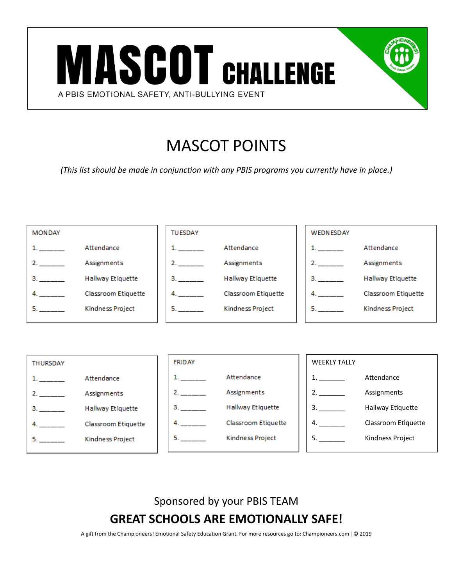

# MASCOT POINTS

*(This list should be made in conjunction with any PBIS programs you currently have in place.)*





Sponsored by your PBIS TEAM

**GREAT SCHOOLS ARE EMOTIONALLY SAFE!**

A gift from the Championeers! Emotional Safety Education Grant. For more resources go to: Championeers.com |© 2019